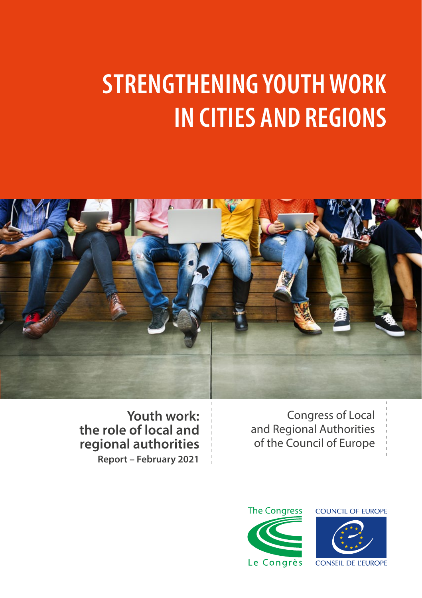# **STRENGTHENING YOUTH WORK IN CITIES AND REGIONS**



Congress of Local and Regional Authorities of the Council of Europe

**Youth work: the role of local and regional authorities Report – February 2021**



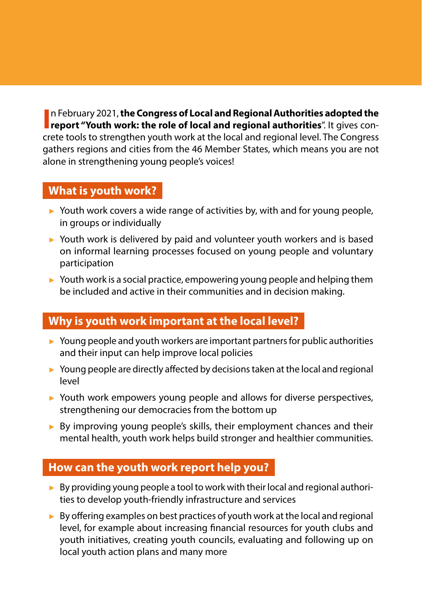**I** In February 2021, the Congress of Local and Regional Authorities adopted the report "Youth work: the role of local and regional authorities". It gives conn February 2021, **the Congress of Local and Regional Authorities adopted the**  crete tools to strengthen youth work at the local and regional level. The Congress gathers regions and cities from the 46 Member States, which means you are not alone in strengthening young people's voices!

## **What is youth work?**

- ► Youth work covers a wide range of activities by, with and for young people, in groups or individually
- ► Youth work is delivered by paid and volunteer youth workers and is based on informal learning processes focused on young people and voluntary participation
- ► Youth work is a social practice, empowering young people and helping them be included and active in their communities and in decision making.

# **Why is youth work important at the local level?**

- ► Young people and youth workers are important partners for public authorities and their input can help improve local policies
- ► Young people are directly affected by decisions taken at the local and regional level
- ► Youth work empowers young people and allows for diverse perspectives, strengthening our democracies from the bottom up
- ► By improving young people's skills, their employment chances and their mental health, youth work helps build stronger and healthier communities.

# **How can the youth work report help you?**

- ► By providing young people a tool to work with their local and regional authorities to develop youth-friendly infrastructure and services
- ► By offering examples on best practices of youth work at the local and regional level, for example about increasing financial resources for youth clubs and youth initiatives, creating youth councils, evaluating and following up on local youth action plans and many more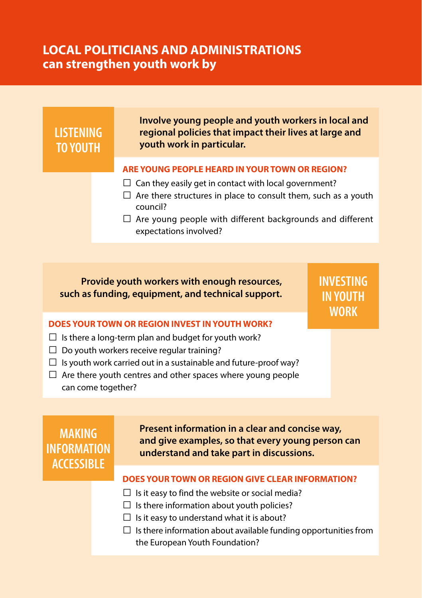# **LOCAL POLITICIANS AND ADMINISTRATIONS can strengthen youth work by**



#### **DOES YOUR TOWN OR REGION INVEST IN YOUTH WORK?**

- $\square$  Is there a long-term plan and budget for youth work?
- $\Box$  Do youth workers receive regular training?
- $\square$  Is youth work carried out in a sustainable and future-proof way?
- $\square$  Are there youth centres and other spaces where young people can come together?

**MAKING INFORMATION ACCESSIBLE**

**Present information in a clear and concise way, and give examples, so that every young person can understand and take part in discussions.**

#### **DOES YOUR TOWN OR REGION GIVE CLEAR INFORMATION?**

- $\Box$  Is it easy to find the website or social media?
- $\square$  Is there information about youth policies?
- $\square$  Is it easy to understand what it is about?
- $\square$  Is there information about available funding opportunities from the European Youth Foundation?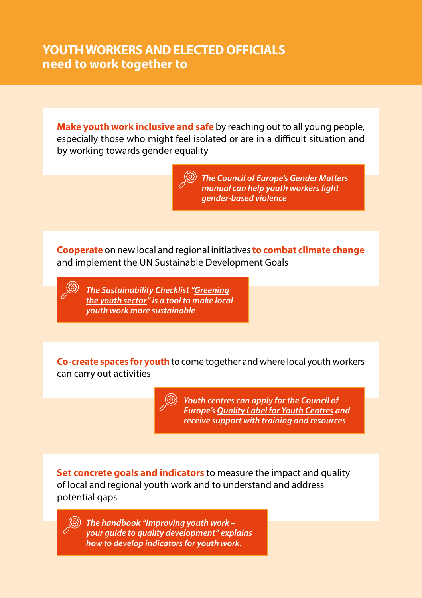# **YOUTH WORKERS AND ELECTED OFFICIALS need to work together to**

**Make youth work inclusive and safe** by reaching out to all young people, especially those who might feel isolated or are in a difficult situation and by working towards gender equality

> *The Council of Europe's [Gender Matters](https://www.coe.int/en/web/gender-matters) manual can help youth workers fight gender-based violence*

**Cooperate** on new local and regional initiatives**to combat climate change** and implement the UN Sustainable Development Goals

*The Sustainability Checklist ["Greening](https://pjp-eu.coe.int/documents/42128013/47261953/EUCOE+YP+Sustainability+Checklist+final.pdf/fd50d766-28a3-c119-bb29-06a0f33cc7c2) [the youth sector](https://pjp-eu.coe.int/documents/42128013/47261953/EUCOE+YP+Sustainability+Checklist+final.pdf/fd50d766-28a3-c119-bb29-06a0f33cc7c2)" is a tool to make local youth work more sustainable*

**Co-create spaces for youth** to come together and where local youth workers can carry out activities

> *Youth centres can apply for the Council of Europe's [Quality Label for Youth Centres](https://www.coe.int/en/web/youth/quality-label-for-youth-centres#%7B%2224902490%22:%5B1%5D%7D) and receive support with training and resources*

**Set concrete goals and indicators** to measure the impact and quality of local and regional youth work and to understand and address potential gaps

*The handbook ["Improving youth work –](https://www.salto-youth.net/tools/toolbox/tool/improving-youth-work-your-guide-to-quality-development.2138/)  [your guide to quality development](https://www.salto-youth.net/tools/toolbox/tool/improving-youth-work-your-guide-to-quality-development.2138/)" explains how to develop indicators for youth work.*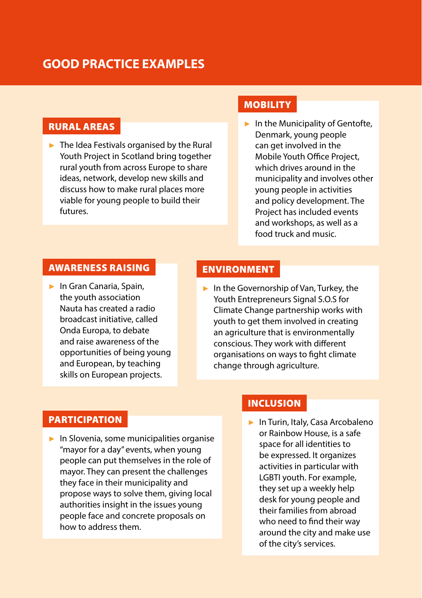# **GOOD PRACTICE EXAMPLES**

## RURAL AREAS

 $\blacktriangleright$  The Idea Festivals organised by the Rural Youth Project in Scotland bring together rural youth from across Europe to share ideas, network, develop new skills and discuss how to make rural places more viable for young people to build their futures.

## **MOBILITY**

► In the Municipality of Gentofte, Denmark, young people can get involved in the Mobile Youth Office Project, which drives around in the municipality and involves other young people in activities and policy development. The Project has included events and workshops, as well as a food truck and music.

#### AWARENESS RAISING

► In Gran Canaria, Spain, the youth association Nauta has created a radio broadcast initiative, called Onda Europa, to debate and raise awareness of the opportunities of being young and European, by teaching skills on European projects.

#### ENVIRONMENT

► In the Governorship of Van, Turkey, the Youth Entrepreneurs Signal S.O.S for Climate Change partnership works with youth to get them involved in creating an agriculture that is environmentally conscious. They work with different organisations on ways to fight climate change through agriculture.

### **PARTICIPATION**

► In Slovenia, some municipalities organise "mayor for a day" events, when young people can put themselves in the role of mayor. They can present the challenges they face in their municipality and propose ways to solve them, giving local authorities insight in the issues young people face and concrete proposals on how to address them.

## INCLUSION

► In Turin, Italy, Casa Arcobaleno or Rainbow House, is a safe space for all identities to be expressed. It organizes activities in particular with LGBTI youth. For example, they set up a weekly help desk for young people and their families from abroad who need to find their way around the city and make use of the city's services.